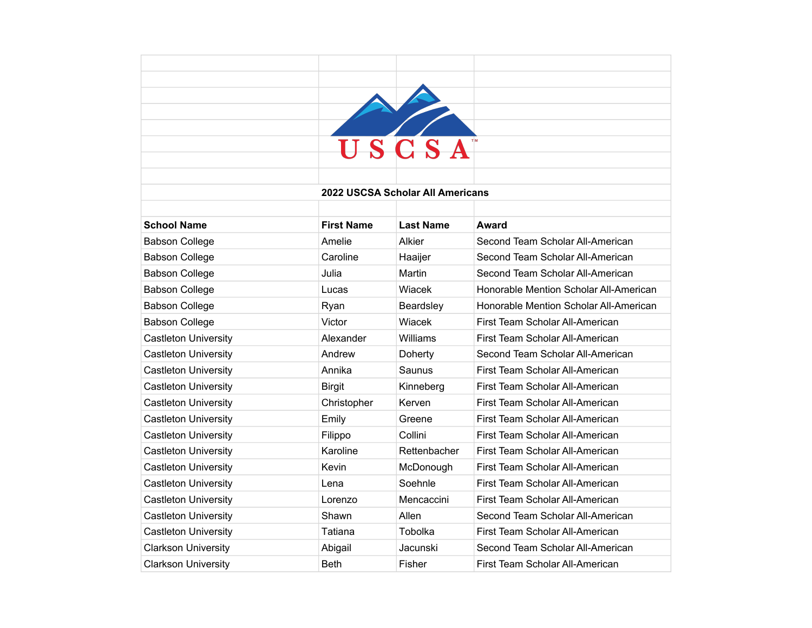|                             |                   | USCSA                            |                                        |
|-----------------------------|-------------------|----------------------------------|----------------------------------------|
|                             |                   |                                  |                                        |
|                             |                   |                                  |                                        |
|                             |                   | 2022 USCSA Scholar All Americans |                                        |
|                             |                   |                                  |                                        |
| <b>School Name</b>          | <b>First Name</b> | <b>Last Name</b>                 | Award                                  |
| <b>Babson College</b>       | Amelie            | Alkier                           | Second Team Scholar All-American       |
| <b>Babson College</b>       | Caroline          | Haaijer                          | Second Team Scholar All-American       |
| <b>Babson College</b>       | Julia             | Martin                           | Second Team Scholar All-American       |
| <b>Babson College</b>       | Lucas             | Wiacek                           | Honorable Mention Scholar All-American |
| <b>Babson College</b>       | Ryan              | Beardsley                        | Honorable Mention Scholar All-American |
| <b>Babson College</b>       | Victor            | Wiacek                           | First Team Scholar All-American        |
| <b>Castleton University</b> | Alexander         | Williams                         | First Team Scholar All-American        |
| <b>Castleton University</b> | Andrew            | Doherty                          | Second Team Scholar All-American       |
| <b>Castleton University</b> | Annika            | Saunus                           | First Team Scholar All-American        |
| <b>Castleton University</b> | <b>Birgit</b>     | Kinneberg                        | First Team Scholar All-American        |
| <b>Castleton University</b> | Christopher       | Kerven                           | First Team Scholar All-American        |
| <b>Castleton University</b> | Emily             | Greene                           | First Team Scholar All-American        |
| <b>Castleton University</b> | Filippo           | Collini                          | First Team Scholar All-American        |
| <b>Castleton University</b> | Karoline          | Rettenbacher                     | First Team Scholar All-American        |
| <b>Castleton University</b> | Kevin             | McDonough                        | First Team Scholar All-American        |
| <b>Castleton University</b> | Lena              | Soehnle                          | First Team Scholar All-American        |
| <b>Castleton University</b> | Lorenzo           | Mencaccini                       | First Team Scholar All-American        |
| <b>Castleton University</b> | Shawn             | Allen                            | Second Team Scholar All-American       |
| <b>Castleton University</b> | Tatiana           | Tobolka                          | First Team Scholar All-American        |
| <b>Clarkson University</b>  | Abigail           | Jacunski                         | Second Team Scholar All-American       |
| <b>Clarkson University</b>  | <b>Beth</b>       | Fisher                           | First Team Scholar All-American        |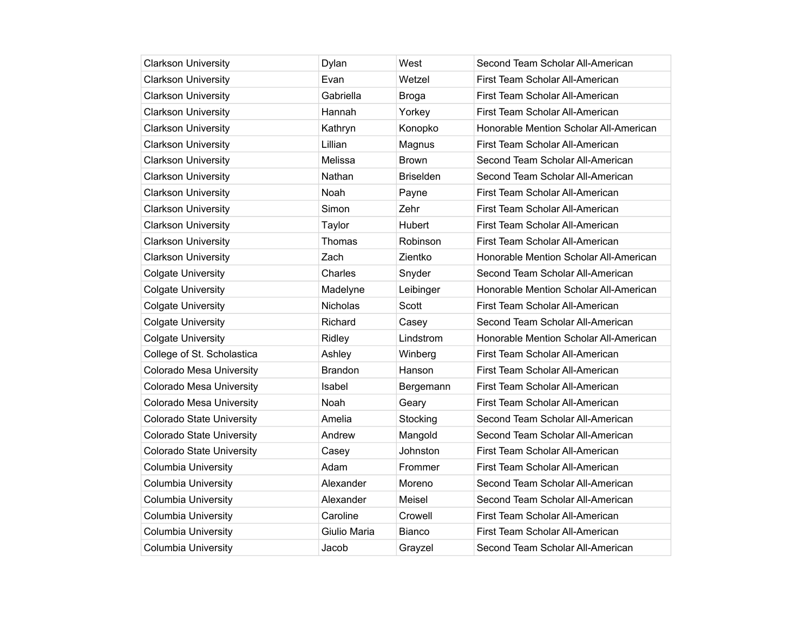| <b>Clarkson University</b>       | Dylan          | West             | Second Team Scholar All-American       |
|----------------------------------|----------------|------------------|----------------------------------------|
| <b>Clarkson University</b>       | Evan           | Wetzel           | First Team Scholar All-American        |
| <b>Clarkson University</b>       | Gabriella      | <b>Broga</b>     | First Team Scholar All-American        |
| <b>Clarkson University</b>       | Hannah         | Yorkey           | First Team Scholar All-American        |
| <b>Clarkson University</b>       | Kathryn        | Konopko          | Honorable Mention Scholar All-American |
| <b>Clarkson University</b>       | Lillian        | Magnus           | First Team Scholar All-American        |
| <b>Clarkson University</b>       | Melissa        | <b>Brown</b>     | Second Team Scholar All-American       |
| <b>Clarkson University</b>       | Nathan         | <b>Briselden</b> | Second Team Scholar All-American       |
| <b>Clarkson University</b>       | Noah           | Payne            | First Team Scholar All-American        |
| <b>Clarkson University</b>       | Simon          | Zehr             | First Team Scholar All-American        |
| <b>Clarkson University</b>       | Taylor         | <b>Hubert</b>    | First Team Scholar All-American        |
| <b>Clarkson University</b>       | Thomas         | Robinson         | First Team Scholar All-American        |
| <b>Clarkson University</b>       | Zach           | Zientko          | Honorable Mention Scholar All-American |
| <b>Colgate University</b>        | Charles        | Snyder           | Second Team Scholar All-American       |
| <b>Colgate University</b>        | Madelyne       | Leibinger        | Honorable Mention Scholar All-American |
| <b>Colgate University</b>        | Nicholas       | Scott            | First Team Scholar All-American        |
| <b>Colgate University</b>        | Richard        | Casey            | Second Team Scholar All-American       |
| <b>Colgate University</b>        | Ridley         | Lindstrom        | Honorable Mention Scholar All-American |
| College of St. Scholastica       | Ashley         | Winberg          | First Team Scholar All-American        |
| Colorado Mesa University         | <b>Brandon</b> | Hanson           | First Team Scholar All-American        |
| <b>Colorado Mesa University</b>  | Isabel         | Bergemann        | First Team Scholar All-American        |
| Colorado Mesa University         | Noah           | Geary            | First Team Scholar All-American        |
| <b>Colorado State University</b> | Amelia         | Stocking         | Second Team Scholar All-American       |
| <b>Colorado State University</b> | Andrew         | Mangold          | Second Team Scholar All-American       |
| <b>Colorado State University</b> | Casey          | Johnston         | First Team Scholar All-American        |
| <b>Columbia University</b>       | Adam           | Frommer          | First Team Scholar All-American        |
| <b>Columbia University</b>       | Alexander      | Moreno           | Second Team Scholar All-American       |
| <b>Columbia University</b>       | Alexander      | Meisel           | Second Team Scholar All-American       |
| <b>Columbia University</b>       | Caroline       | Crowell          | First Team Scholar All-American        |
| <b>Columbia University</b>       | Giulio Maria   | Bianco           | First Team Scholar All-American        |
| Columbia University              | Jacob          | Grayzel          | Second Team Scholar All-American       |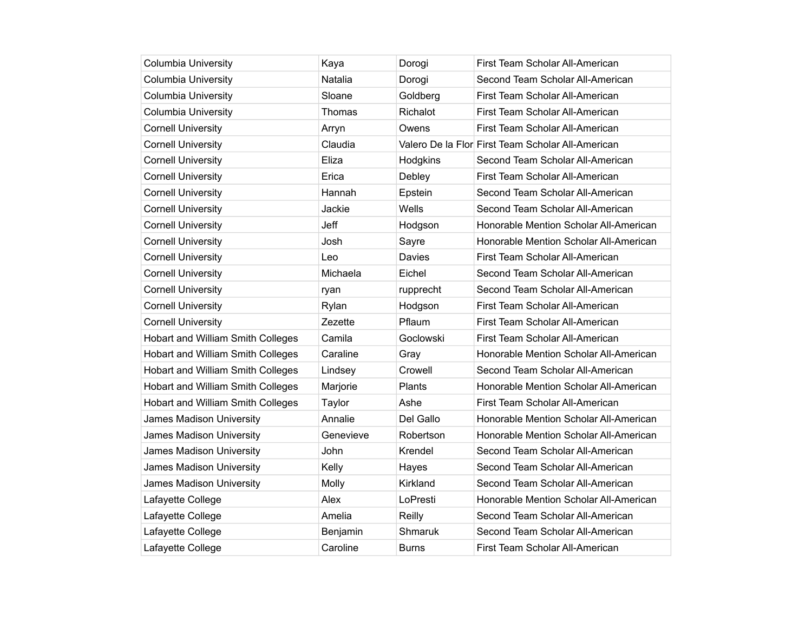| <b>Columbia University</b>               | Kaya      | Dorogi       | First Team Scholar All-American                   |
|------------------------------------------|-----------|--------------|---------------------------------------------------|
| <b>Columbia University</b>               | Natalia   | Dorogi       | Second Team Scholar All-American                  |
| <b>Columbia University</b>               | Sloane    | Goldberg     | First Team Scholar All-American                   |
| <b>Columbia University</b>               | Thomas    | Richalot     | First Team Scholar All-American                   |
| <b>Cornell University</b>                | Arryn     | Owens        | First Team Scholar All-American                   |
| <b>Cornell University</b>                | Claudia   |              | Valero De la Flor First Team Scholar All-American |
| <b>Cornell University</b>                | Eliza     | Hodgkins     | Second Team Scholar All-American                  |
| <b>Cornell University</b>                | Erica     | Debley       | First Team Scholar All-American                   |
| <b>Cornell University</b>                | Hannah    | Epstein      | Second Team Scholar All-American                  |
| <b>Cornell University</b>                | Jackie    | Wells        | Second Team Scholar All-American                  |
| <b>Cornell University</b>                | Jeff      | Hodgson      | Honorable Mention Scholar All-American            |
| <b>Cornell University</b>                | Josh      | Sayre        | Honorable Mention Scholar All-American            |
| <b>Cornell University</b>                | Leo       | Davies       | First Team Scholar All-American                   |
| <b>Cornell University</b>                | Michaela  | Eichel       | Second Team Scholar All-American                  |
| <b>Cornell University</b>                | ryan      | rupprecht    | Second Team Scholar All-American                  |
| <b>Cornell University</b>                | Rylan     | Hodgson      | First Team Scholar All-American                   |
| <b>Cornell University</b>                | Zezette   | Pflaum       | First Team Scholar All-American                   |
| Hobart and William Smith Colleges        | Camila    | Goclowski    | First Team Scholar All-American                   |
| Hobart and William Smith Colleges        | Caraline  | Gray         | Honorable Mention Scholar All-American            |
| Hobart and William Smith Colleges        | Lindsey   | Crowell      | Second Team Scholar All-American                  |
| Hobart and William Smith Colleges        | Marjorie  | Plants       | Honorable Mention Scholar All-American            |
| <b>Hobart and William Smith Colleges</b> | Taylor    | Ashe         | First Team Scholar All-American                   |
| James Madison University                 | Annalie   | Del Gallo    | Honorable Mention Scholar All-American            |
| James Madison University                 | Genevieve | Robertson    | Honorable Mention Scholar All-American            |
| James Madison University                 | John      | Krendel      | Second Team Scholar All-American                  |
| James Madison University                 | Kelly     | Hayes        | Second Team Scholar All-American                  |
| James Madison University                 | Molly     | Kirkland     | Second Team Scholar All-American                  |
| Lafayette College                        | Alex      | LoPresti     | Honorable Mention Scholar All-American            |
| Lafayette College                        | Amelia    | Reilly       | Second Team Scholar All-American                  |
| Lafayette College                        | Benjamin  | Shmaruk      | Second Team Scholar All-American                  |
| Lafayette College                        | Caroline  | <b>Burns</b> | First Team Scholar All-American                   |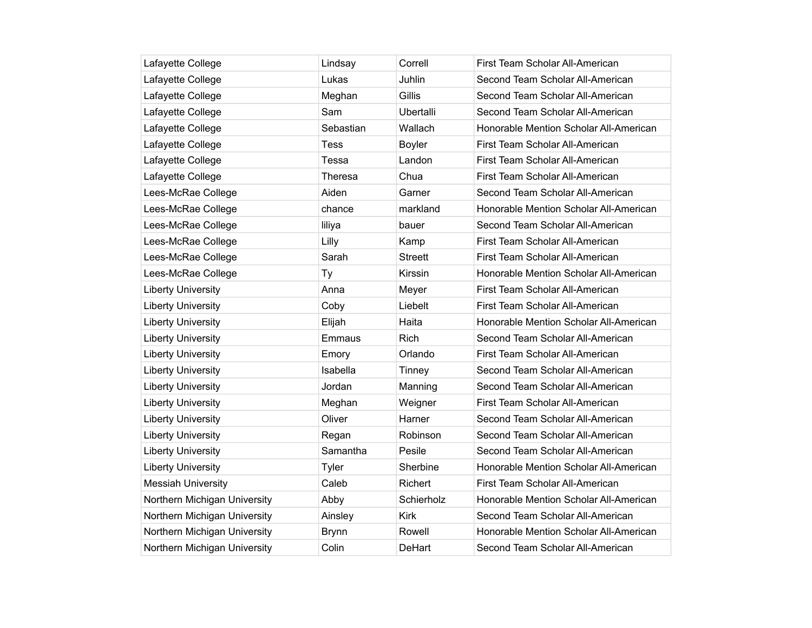| Lafayette College            | Lindsay      | Correll          | First Team Scholar All-American        |
|------------------------------|--------------|------------------|----------------------------------------|
| Lafayette College            | Lukas        | Juhlin           | Second Team Scholar All-American       |
| Lafayette College            | Meghan       | Gillis           | Second Team Scholar All-American       |
| Lafayette College            | Sam          | <b>Ubertalli</b> | Second Team Scholar All-American       |
| Lafayette College            | Sebastian    | Wallach          | Honorable Mention Scholar All-American |
| Lafayette College            | Tess         | Boyler           | First Team Scholar All-American        |
| Lafayette College            | Tessa        | Landon           | First Team Scholar All-American        |
| Lafayette College            | Theresa      | Chua             | First Team Scholar All-American        |
| Lees-McRae College           | Aiden        | Garner           | Second Team Scholar All-American       |
| Lees-McRae College           | chance       | markland         | Honorable Mention Scholar All-American |
| Lees-McRae College           | liliya       | bauer            | Second Team Scholar All-American       |
| Lees-McRae College           | Lilly        | Kamp             | First Team Scholar All-American        |
| Lees-McRae College           | Sarah        | <b>Streett</b>   | First Team Scholar All-American        |
| Lees-McRae College           | Тy           | Kirssin          | Honorable Mention Scholar All-American |
| <b>Liberty University</b>    | Anna         | Meyer            | First Team Scholar All-American        |
| <b>Liberty University</b>    | Coby         | Liebelt          | First Team Scholar All-American        |
| <b>Liberty University</b>    | Elijah       | Haita            | Honorable Mention Scholar All-American |
| <b>Liberty University</b>    | Emmaus       | <b>Rich</b>      | Second Team Scholar All-American       |
| <b>Liberty University</b>    | Emory        | Orlando          | First Team Scholar All-American        |
| <b>Liberty University</b>    | Isabella     | Tinney           | Second Team Scholar All-American       |
| <b>Liberty University</b>    | Jordan       | Manning          | Second Team Scholar All-American       |
| <b>Liberty University</b>    | Meghan       | Weigner          | First Team Scholar All-American        |
| <b>Liberty University</b>    | Oliver       | Harner           | Second Team Scholar All-American       |
| <b>Liberty University</b>    | Regan        | Robinson         | Second Team Scholar All-American       |
| <b>Liberty University</b>    | Samantha     | Pesile           | Second Team Scholar All-American       |
| <b>Liberty University</b>    | Tyler        | Sherbine         | Honorable Mention Scholar All-American |
| <b>Messiah University</b>    | Caleb        | Richert          | First Team Scholar All-American        |
| Northern Michigan University | Abby         | Schierholz       | Honorable Mention Scholar All-American |
| Northern Michigan University | Ainsley      | <b>Kirk</b>      | Second Team Scholar All-American       |
| Northern Michigan University | <b>Brynn</b> | Rowell           | Honorable Mention Scholar All-American |
| Northern Michigan University | Colin        | <b>DeHart</b>    | Second Team Scholar All-American       |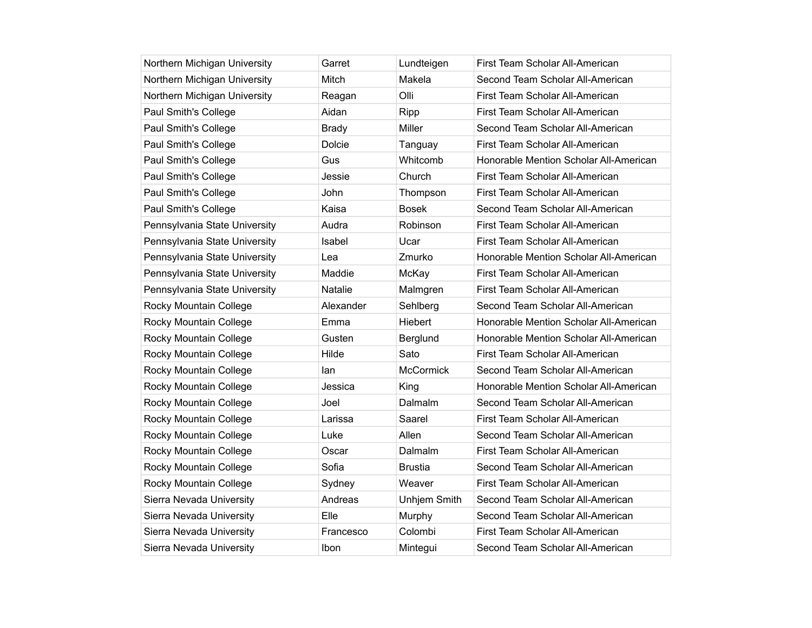| Northern Michigan University  | Garret         | Lundteigen          | First Team Scholar All-American        |
|-------------------------------|----------------|---------------------|----------------------------------------|
| Northern Michigan University  | Mitch          | Makela              | Second Team Scholar All-American       |
| Northern Michigan University  | Reagan         | Olli                | First Team Scholar All-American        |
| Paul Smith's College          | Aidan          | Ripp                | First Team Scholar All-American        |
| Paul Smith's College          | <b>Brady</b>   | Miller              | Second Team Scholar All-American       |
| Paul Smith's College          | Dolcie         | Tanguay             | First Team Scholar All-American        |
| Paul Smith's College          | Gus            | Whitcomb            | Honorable Mention Scholar All-American |
| Paul Smith's College          | Jessie         | Church              | First Team Scholar All-American        |
| Paul Smith's College          | John           | Thompson            | First Team Scholar All-American        |
| Paul Smith's College          | Kaisa          | <b>Bosek</b>        | Second Team Scholar All-American       |
| Pennsylvania State University | Audra          | Robinson            | First Team Scholar All-American        |
| Pennsylvania State University | Isabel         | Ucar                | First Team Scholar All-American        |
| Pennsylvania State University | Lea            | Zmurko              | Honorable Mention Scholar All-American |
| Pennsylvania State University | Maddie         | McKay               | First Team Scholar All-American        |
| Pennsylvania State University | <b>Natalie</b> | Malmgren            | First Team Scholar All-American        |
| Rocky Mountain College        | Alexander      | Sehlberg            | Second Team Scholar All-American       |
| Rocky Mountain College        | Emma           | Hiebert             | Honorable Mention Scholar All-American |
| Rocky Mountain College        | Gusten         | Berglund            | Honorable Mention Scholar All-American |
| Rocky Mountain College        | Hilde          | Sato                | First Team Scholar All-American        |
| Rocky Mountain College        | lan            | McCormick           | Second Team Scholar All-American       |
| Rocky Mountain College        | Jessica        | King                | Honorable Mention Scholar All-American |
| Rocky Mountain College        | Joel           | Dalmalm             | Second Team Scholar All-American       |
| Rocky Mountain College        | Larissa        | Saarel              | First Team Scholar All-American        |
| Rocky Mountain College        | Luke           | Allen               | Second Team Scholar All-American       |
| Rocky Mountain College        | Oscar          | Dalmalm             | First Team Scholar All-American        |
| Rocky Mountain College        | Sofia          | <b>Brustia</b>      | Second Team Scholar All-American       |
| Rocky Mountain College        | Sydney         | Weaver              | First Team Scholar All-American        |
| Sierra Nevada University      | Andreas        | <b>Unhjem Smith</b> | Second Team Scholar All-American       |
| Sierra Nevada University      | Flle.          | Murphy              | Second Team Scholar All-American       |
| Sierra Nevada University      | Francesco      | Colombi             | First Team Scholar All-American        |
| Sierra Nevada University      | Ibon           | Mintegui            | Second Team Scholar All-American       |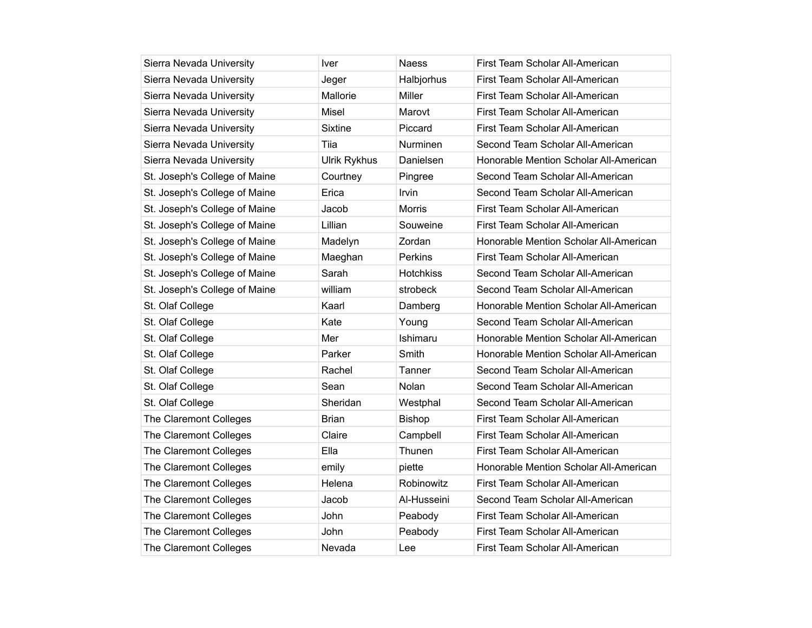| Sierra Nevada University      | Iver                | Naess            | First Team Scholar All-American        |
|-------------------------------|---------------------|------------------|----------------------------------------|
| Sierra Nevada University      | Jeger               | Halbjorhus       | First Team Scholar All-American        |
| Sierra Nevada University      | Mallorie            | Miller           | First Team Scholar All-American        |
| Sierra Nevada University      | Misel               | Marovt           | First Team Scholar All-American        |
| Sierra Nevada University      | Sixtine             | Piccard          | First Team Scholar All-American        |
| Sierra Nevada University      | Tiia                | <b>Nurminen</b>  | Second Team Scholar All-American       |
| Sierra Nevada University      | <b>Ulrik Rykhus</b> | Danielsen        | Honorable Mention Scholar All-American |
| St. Joseph's College of Maine | Courtney            | Pingree          | Second Team Scholar All-American       |
| St. Joseph's College of Maine | Erica               | Irvin            | Second Team Scholar All-American       |
| St. Joseph's College of Maine | Jacob               | <b>Morris</b>    | First Team Scholar All-American        |
| St. Joseph's College of Maine | Lillian             | Souweine         | First Team Scholar All-American        |
| St. Joseph's College of Maine | Madelyn             | Zordan           | Honorable Mention Scholar All-American |
| St. Joseph's College of Maine | Maeghan             | Perkins          | First Team Scholar All-American        |
| St. Joseph's College of Maine | Sarah               | <b>Hotchkiss</b> | Second Team Scholar All-American       |
| St. Joseph's College of Maine | william             | strobeck         | Second Team Scholar All-American       |
| St. Olaf College              | Kaarl               | Damberg          | Honorable Mention Scholar All-American |
| St. Olaf College              | Kate                | Young            | Second Team Scholar All-American       |
| St. Olaf College              | Mer                 | Ishimaru         | Honorable Mention Scholar All-American |
| St. Olaf College              | Parker              | Smith            | Honorable Mention Scholar All-American |
| St. Olaf College              | Rachel              | Tanner           | Second Team Scholar All-American       |
| St. Olaf College              | Sean                | Nolan            | Second Team Scholar All-American       |
| St. Olaf College              | Sheridan            | Westphal         | Second Team Scholar All-American       |
| The Claremont Colleges        | Brian               | <b>Bishop</b>    | First Team Scholar All-American        |
| The Claremont Colleges        | Claire              | Campbell         | First Team Scholar All-American        |
| The Claremont Colleges        | Ella                | Thunen           | First Team Scholar All-American        |
| The Claremont Colleges        | emily               | piette           | Honorable Mention Scholar All-American |
| The Claremont Colleges        | Helena              | Robinowitz       | First Team Scholar All-American        |
| The Claremont Colleges        | Jacob               | Al-Husseini      | Second Team Scholar All-American       |
| The Claremont Colleges        | John                | Peabody          | First Team Scholar All-American        |
| The Claremont Colleges        | John                | Peabody          | First Team Scholar All-American        |
| The Claremont Colleges        | Nevada              | Lee              | First Team Scholar All-American        |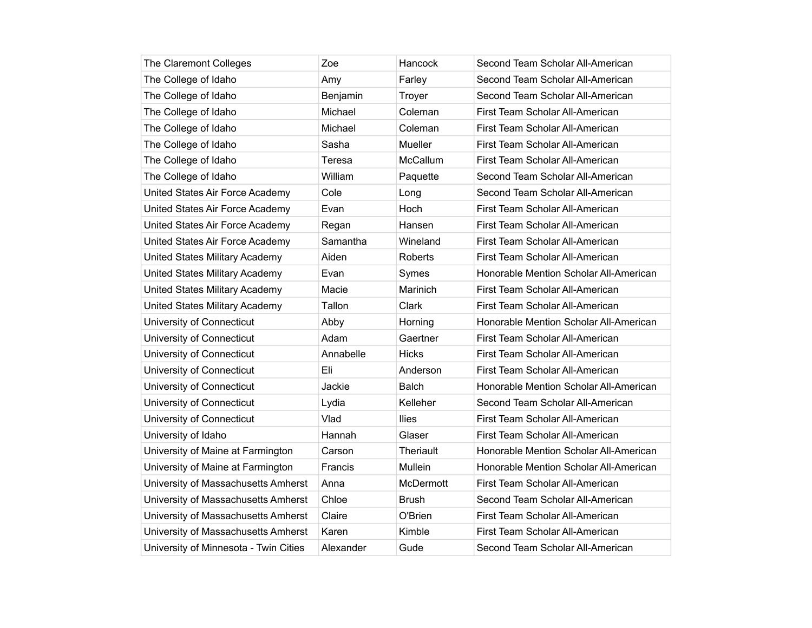| The Claremont Colleges                | Zoe       | Hancock      | Second Team Scholar All-American       |
|---------------------------------------|-----------|--------------|----------------------------------------|
| The College of Idaho                  | Amy       | Farley       | Second Team Scholar All-American       |
| The College of Idaho                  | Benjamin  | Troyer       | Second Team Scholar All-American       |
| The College of Idaho                  | Michael   | Coleman      | First Team Scholar All-American        |
| The College of Idaho                  | Michael   | Coleman      | First Team Scholar All-American        |
| The College of Idaho                  | Sasha     | Mueller      | First Team Scholar All-American        |
| The College of Idaho                  | Teresa    | McCallum     | First Team Scholar All-American        |
| The College of Idaho                  | William   | Paquette     | Second Team Scholar All-American       |
| United States Air Force Academy       | Cole      | Long         | Second Team Scholar All-American       |
| United States Air Force Academy       | Evan      | Hoch         | First Team Scholar All-American        |
| United States Air Force Academy       | Regan     | Hansen       | First Team Scholar All-American        |
| United States Air Force Academy       | Samantha  | Wineland     | First Team Scholar All-American        |
| United States Military Academy        | Aiden     | Roberts      | First Team Scholar All-American        |
| United States Military Academy        | Evan      | Symes        | Honorable Mention Scholar All-American |
| United States Military Academy        | Macie     | Marinich     | First Team Scholar All-American        |
| United States Military Academy        | Tallon    | Clark        | First Team Scholar All-American        |
| University of Connecticut             | Abby      | Horning      | Honorable Mention Scholar All-American |
| University of Connecticut             | Adam      | Gaertner     | First Team Scholar All-American        |
| University of Connecticut             | Annabelle | <b>Hicks</b> | First Team Scholar All-American        |
| University of Connecticut             | Eli       | Anderson     | First Team Scholar All-American        |
| University of Connecticut             | Jackie    | Balch        | Honorable Mention Scholar All-American |
| University of Connecticut             | Lydia     | Kelleher     | Second Team Scholar All-American       |
| University of Connecticut             | Vlad      | <b>Ilies</b> | First Team Scholar All-American        |
| University of Idaho                   | Hannah    | Glaser       | First Team Scholar All-American        |
| University of Maine at Farmington     | Carson    | Theriault    | Honorable Mention Scholar All-American |
| University of Maine at Farmington     | Francis   | Mullein      | Honorable Mention Scholar All-American |
| University of Massachusetts Amherst   | Anna      | McDermott    | First Team Scholar All-American        |
| University of Massachusetts Amherst   | Chloe     | Brush        | Second Team Scholar All-American       |
| University of Massachusetts Amherst   | Claire    | O'Brien      | First Team Scholar All-American        |
| University of Massachusetts Amherst   | Karen     | Kimble       | First Team Scholar All-American        |
| University of Minnesota - Twin Cities | Alexander | Gude         | Second Team Scholar All-American       |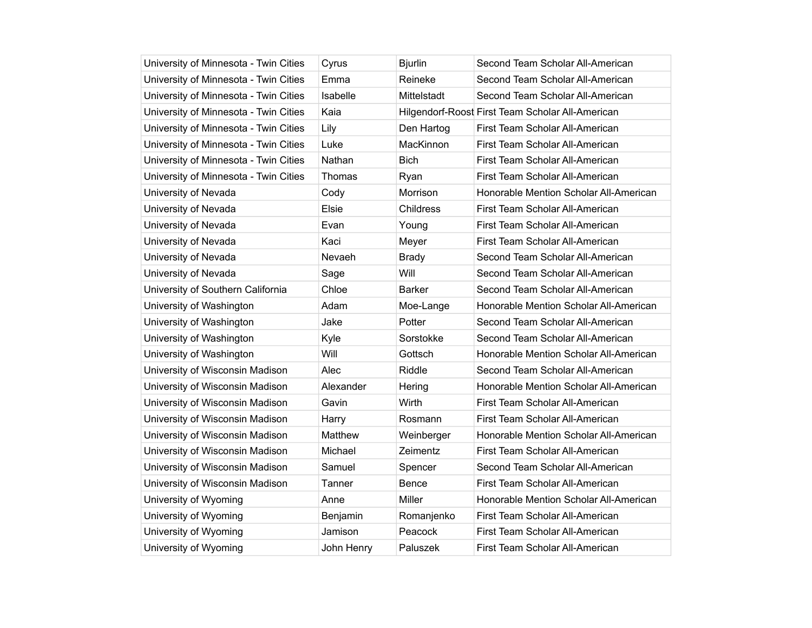| University of Minnesota - Twin Cities | Cyrus      | <b>Bjurlin</b>   | Second Team Scholar All-American                 |
|---------------------------------------|------------|------------------|--------------------------------------------------|
| University of Minnesota - Twin Cities | Emma       | Reineke          | Second Team Scholar All-American                 |
| University of Minnesota - Twin Cities | Isabelle   | Mittelstadt      | Second Team Scholar All-American                 |
| University of Minnesota - Twin Cities | Kaia       |                  | Hilgendorf-Roost First Team Scholar All-American |
| University of Minnesota - Twin Cities | Lily       | Den Hartog       | First Team Scholar All-American                  |
| University of Minnesota - Twin Cities | Luke       | MacKinnon        | First Team Scholar All-American                  |
| University of Minnesota - Twin Cities | Nathan     | <b>Bich</b>      | First Team Scholar All-American                  |
| University of Minnesota - Twin Cities | Thomas     | Ryan             | First Team Scholar All-American                  |
| University of Nevada                  | Cody       | Morrison         | Honorable Mention Scholar All-American           |
| University of Nevada                  | Elsie      | <b>Childress</b> | First Team Scholar All-American                  |
| University of Nevada                  | Evan       | Young            | First Team Scholar All-American                  |
| University of Nevada                  | Kaci       | Meyer            | First Team Scholar All-American                  |
| University of Nevada                  | Nevaeh     | <b>Brady</b>     | Second Team Scholar All-American                 |
| University of Nevada                  | Sage       | Will             | Second Team Scholar All-American                 |
| University of Southern California     | Chloe      | <b>Barker</b>    | Second Team Scholar All-American                 |
| University of Washington              | Adam       | Moe-Lange        | Honorable Mention Scholar All-American           |
| University of Washington              | Jake       | Potter           | Second Team Scholar All-American                 |
| University of Washington              | Kyle       | Sorstokke        | Second Team Scholar All-American                 |
| University of Washington              | Will       | Gottsch          | Honorable Mention Scholar All-American           |
| University of Wisconsin Madison       | Alec       | Riddle           | Second Team Scholar All-American                 |
| University of Wisconsin Madison       | Alexander  | Hering           | Honorable Mention Scholar All-American           |
| University of Wisconsin Madison       | Gavin      | Wirth            | First Team Scholar All-American                  |
| University of Wisconsin Madison       | Harry      | Rosmann          | First Team Scholar All-American                  |
| University of Wisconsin Madison       | Matthew    | Weinberger       | Honorable Mention Scholar All-American           |
| University of Wisconsin Madison       | Michael    | Zeimentz         | First Team Scholar All-American                  |
| University of Wisconsin Madison       | Samuel     | Spencer          | Second Team Scholar All-American                 |
| University of Wisconsin Madison       | Tanner     | Bence            | First Team Scholar All-American                  |
| University of Wyoming                 | Anne       | Miller           | Honorable Mention Scholar All-American           |
| University of Wyoming                 | Benjamin   | Romanjenko       | First Team Scholar All-American                  |
| University of Wyoming                 | Jamison    | Peacock          | First Team Scholar All-American                  |
| University of Wyoming                 | John Henry | Paluszek         | First Team Scholar All-American                  |